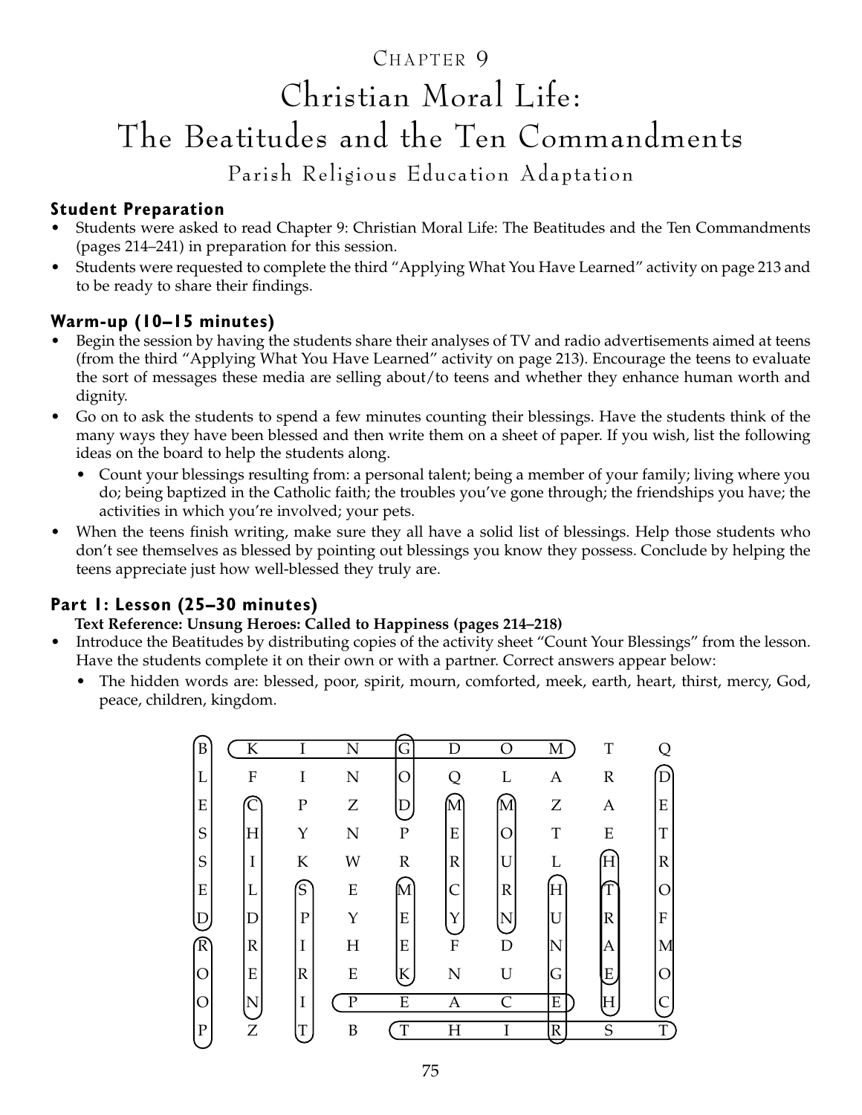### CHAPTER 9

# Christian Moral Life: The Beatitudes and the Ten Commandments

Parish Religious Education Adaptation

#### **Student Preparation**

- Students were asked to read Chapter 9: Christian Moral Life: The Beatitudes and the Ten Commandments (pages 214–241) in preparation for this session.
- Students were requested to complete the third "Applying What You Have Learned" activity on page 213 and to be ready to share their findings.

#### **Warm-up (10–15 minutes)**

- Begin the session by having the students share their analyses of TV and radio advertisements aimed at teens (from the third "Applying What You Have Learned" activity on page 213). Encourage the teens to evaluate the sort of messages these media are selling about/to teens and whether they enhance human worth and dignity.
- Go on to ask the students to spend a few minutes counting their blessings. Have the students think of the many ways they have been blessed and then write them on a sheet of paper. If you wish, list the following ideas on the board to help the students along.
	- Count your blessings resulting from: a personal talent; being a member of your family; living where you do; being baptized in the Catholic faith; the troubles you've gone through; the friendships you have; the activities in which you're involved; your pets.
- When the teens finish writing, make sure they all have a solid list of blessings. Help those students who don't see themselves as blessed by pointing out blessings you know they possess. Conclude by helping the teens appreciate just how well-blessed they truly are.

#### **Part 1: Lesson (25–30 minutes)**

#### **Text Reference: Unsung Heroes: Called to Happiness (pages 214–218)**

- Introduce the Beatitudes by distributing copies of the activity sheet "Count Your Blessings" from the lesson. Have the students complete it on their own or with a partner. Correct answers appear below:
	- The hidden words are: blessed, poor, spirit, mourn, comforted, meek, earth, heart, thirst, mercy, God, peace, children, kingdom.

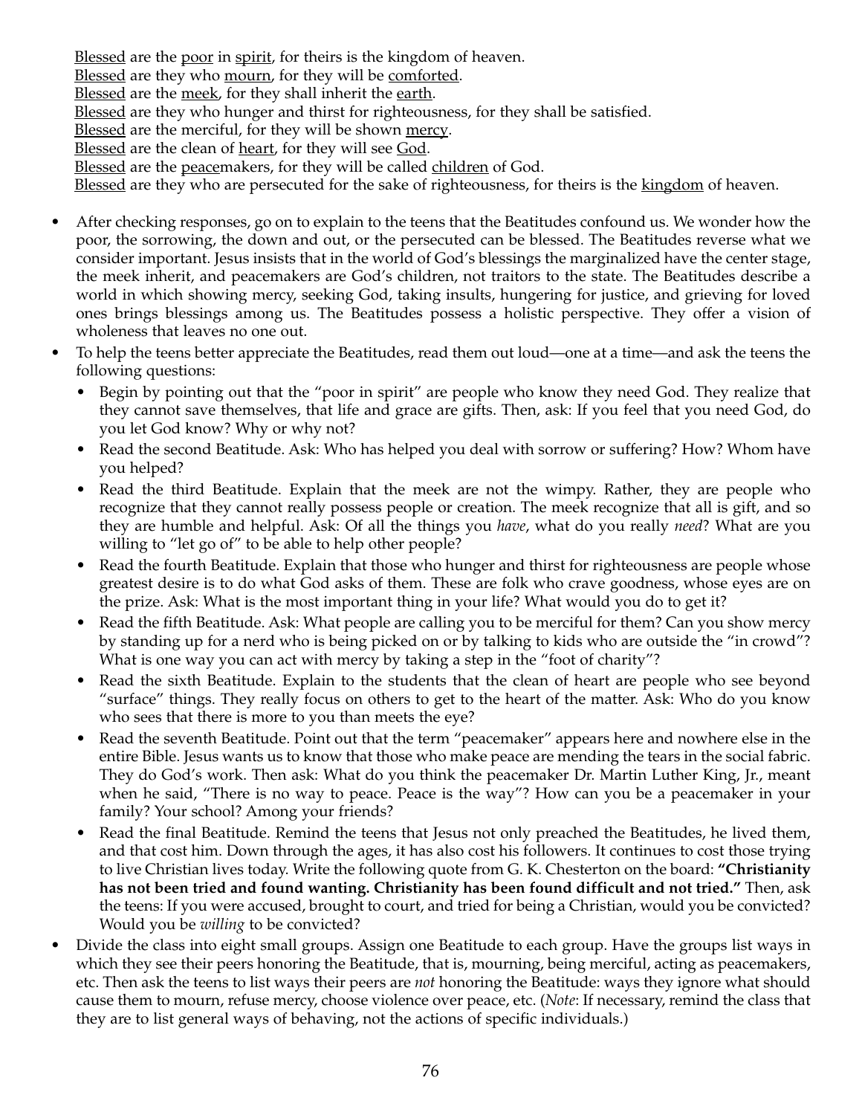Blessed are the poor in spirit, for theirs is the kingdom of heaven. Blessed are they who mourn, for they will be comforted. Blessed are the meek, for they shall inherit the earth. Blessed are they who hunger and thirst for righteousness, for they shall be satisfied. Blessed are the merciful, for they will be shown mercy. Blessed are the clean of heart, for they will see God. Blessed are the peacemakers, for they will be called children of God. Blessed are they who are persecuted for the sake of righteousness, for theirs is the kingdom of heaven.

- After checking responses, go on to explain to the teens that the Beatitudes confound us. We wonder how the poor, the sorrowing, the down and out, or the persecuted can be blessed. The Beatitudes reverse what we consider important. Jesus insists that in the world of God's blessings the marginalized have the center stage, the meek inherit, and peacemakers are God's children, not traitors to the state. The Beatitudes describe a world in which showing mercy, seeking God, taking insults, hungering for justice, and grieving for loved ones brings blessings among us. The Beatitudes possess a holistic perspective. They offer a vision of wholeness that leaves no one out.
- To help the teens better appreciate the Beatitudes, read them out loud—one at a time—and ask the teens the following questions:
	- Begin by pointing out that the "poor in spirit" are people who know they need God. They realize that they cannot save themselves, that life and grace are gifts. Then, ask: If you feel that you need God, do you let God know? Why or why not?
	- Read the second Beatitude. Ask: Who has helped you deal with sorrow or suffering? How? Whom have you helped?
	- Read the third Beatitude. Explain that the meek are not the wimpy. Rather, they are people who recognize that they cannot really possess people or creation. The meek recognize that all is gift, and so they are humble and helpful. Ask: Of all the things you *have*, what do you really *need*? What are you willing to "let go of" to be able to help other people?
	- Read the fourth Beatitude. Explain that those who hunger and thirst for righteousness are people whose greatest desire is to do what God asks of them. These are folk who crave goodness, whose eyes are on the prize. Ask: What is the most important thing in your life? What would you do to get it?
	- Read the fifth Beatitude. Ask: What people are calling you to be merciful for them? Can you show mercy by standing up for a nerd who is being picked on or by talking to kids who are outside the "in crowd"? What is one way you can act with mercy by taking a step in the "foot of charity"?
	- Read the sixth Beatitude. Explain to the students that the clean of heart are people who see beyond "surface" things. They really focus on others to get to the heart of the matter. Ask: Who do you know who sees that there is more to you than meets the eye?
	- Read the seventh Beatitude. Point out that the term "peacemaker" appears here and nowhere else in the entire Bible. Jesus wants us to know that those who make peace are mending the tears in the social fabric. They do God's work. Then ask: What do you think the peacemaker Dr. Martin Luther King, Jr., meant when he said, "There is no way to peace. Peace is the way"? How can you be a peacemaker in your family? Your school? Among your friends?
	- Read the final Beatitude. Remind the teens that Jesus not only preached the Beatitudes, he lived them, and that cost him. Down through the ages, it has also cost his followers. It continues to cost those trying to live Christian lives today. Write the following quote from G. K. Chesterton on the board: **"Christianity has not been tried and found wanting. Christianity has been found difficult and not tried."** Then, ask the teens: If you were accused, brought to court, and tried for being a Christian, would you be convicted? Would you be *willing* to be convicted?
- Divide the class into eight small groups. Assign one Beatitude to each group. Have the groups list ways in which they see their peers honoring the Beatitude, that is, mourning, being merciful, acting as peacemakers, etc. Then ask the teens to list ways their peers are *not* honoring the Beatitude: ways they ignore what should cause them to mourn, refuse mercy, choose violence over peace, etc. (*Note*: If necessary, remind the class that they are to list general ways of behaving, not the actions of specific individuals.)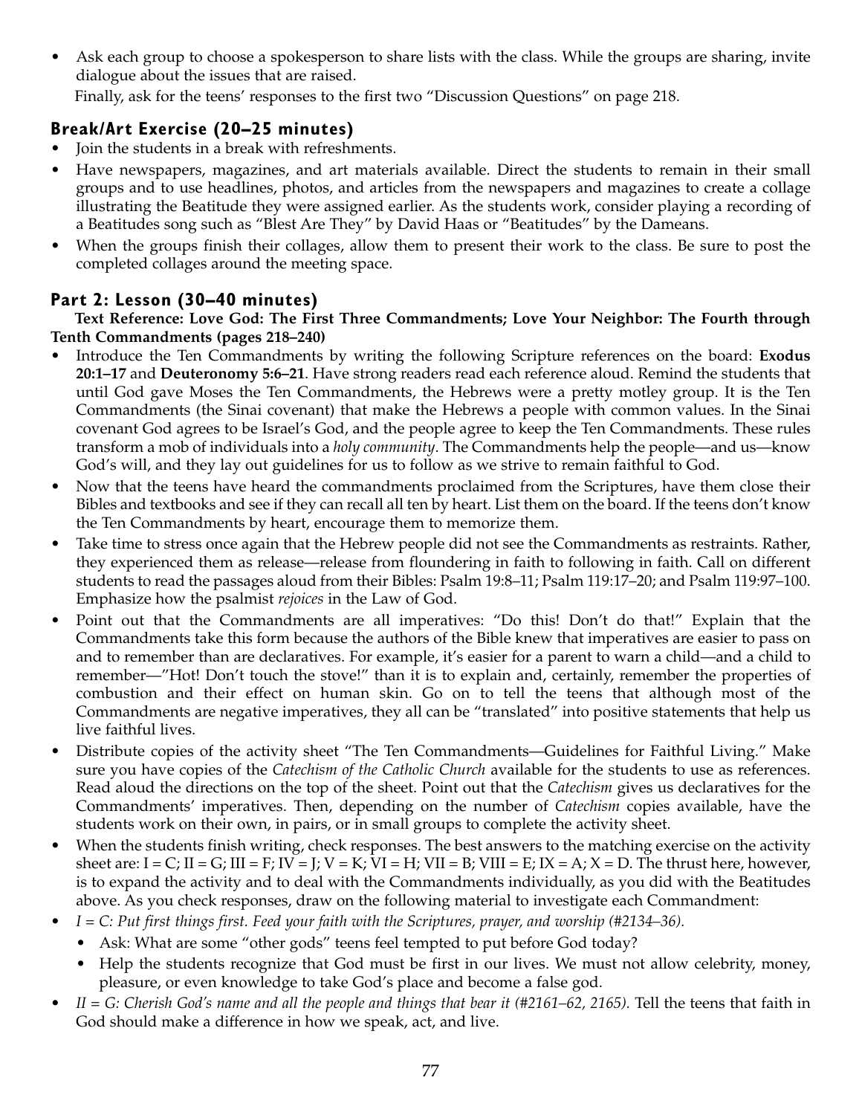Ask each group to choose a spokesperson to share lists with the class. While the groups are sharing, invite dialogue about the issues that are raised.

Finally, ask for the teens' responses to the first two "Discussion Questions" on page 218.

#### **Break/Art Exercise (20–25 minutes)**

- Join the students in a break with refreshments.
- Have newspapers, magazines, and art materials available. Direct the students to remain in their small groups and to use headlines, photos, and articles from the newspapers and magazines to create a collage illustrating the Beatitude they were assigned earlier. As the students work, consider playing a recording of a Beatitudes song such as "Blest Are They" by David Haas or "Beatitudes" by the Dameans.
- When the groups finish their collages, allow them to present their work to the class. Be sure to post the completed collages around the meeting space.

#### **Part 2: Lesson (30–40 minutes)**

**Text Reference: Love God: The First Three Commandments; Love Your Neighbor: The Fourth through Tenth Commandments (pages 218–240)**

- Introduce the Ten Commandments by writing the following Scripture references on the board: **Exodus 20:1–17** and **Deuteronomy 5:6–21**. Have strong readers read each reference aloud. Remind the students that until God gave Moses the Ten Commandments, the Hebrews were a pretty motley group. It is the Ten Commandments (the Sinai covenant) that make the Hebrews a people with common values. In the Sinai covenant God agrees to be Israel's God, and the people agree to keep the Ten Commandments. These rules transform a mob of individuals into a *holy community*. The Commandments help the people—and us—know God's will, and they lay out guidelines for us to follow as we strive to remain faithful to God.
- Now that the teens have heard the commandments proclaimed from the Scriptures, have them close their Bibles and textbooks and see if they can recall all ten by heart. List them on the board. If the teens don't know the Ten Commandments by heart, encourage them to memorize them.
- Take time to stress once again that the Hebrew people did not see the Commandments as restraints. Rather, they experienced them as release—release from floundering in faith to following in faith. Call on different students to read the passages aloud from their Bibles: Psalm 19:8–11; Psalm 119:17–20; and Psalm 119:97–100. Emphasize how the psalmist *rejoices* in the Law of God.
- Point out that the Commandments are all imperatives: "Do this! Don't do that!" Explain that the Commandments take this form because the authors of the Bible knew that imperatives are easier to pass on and to remember than are declaratives. For example, it's easier for a parent to warn a child—and a child to remember—"Hot! Don't touch the stove!" than it is to explain and, certainly, remember the properties of combustion and their effect on human skin. Go on to tell the teens that although most of the Commandments are negative imperatives, they all can be "translated" into positive statements that help us live faithful lives.
- Distribute copies of the activity sheet "The Ten Commandments—Guidelines for Faithful Living." Make sure you have copies of the *Catechism of the Catholic Church* available for the students to use as references. Read aloud the directions on the top of the sheet. Point out that the *Catechism* gives us declaratives for the Commandments' imperatives. Then, depending on the number of *Catechism* copies available, have the students work on their own, in pairs, or in small groups to complete the activity sheet.
- When the students finish writing, check responses. The best answers to the matching exercise on the activity sheet are:  $I = C$ ;  $II = G$ ;  $III = F$ ;  $IV = J$ ;  $V = K$ ;  $VI = H$ ;  $VII = B$ ;  $VIII = E$ ;  $IX = A$ ;  $X = D$ . The thrust here, however, is to expand the activity and to deal with the Commandments individually, as you did with the Beatitudes above. As you check responses, draw on the following material to investigate each Commandment:
- *I = C: Put first things first. Feed your faith with the Scriptures, prayer, and worship (#2134–36).*
	- Ask: What are some "other gods" teens feel tempted to put before God today?
	- Help the students recognize that God must be first in our lives. We must not allow celebrity, money, pleasure, or even knowledge to take God's place and become a false god.
- *II = G: Cherish God's name and all the people and things that bear it (#2161–62, 2165).* Tell the teens that faith in God should make a difference in how we speak, act, and live.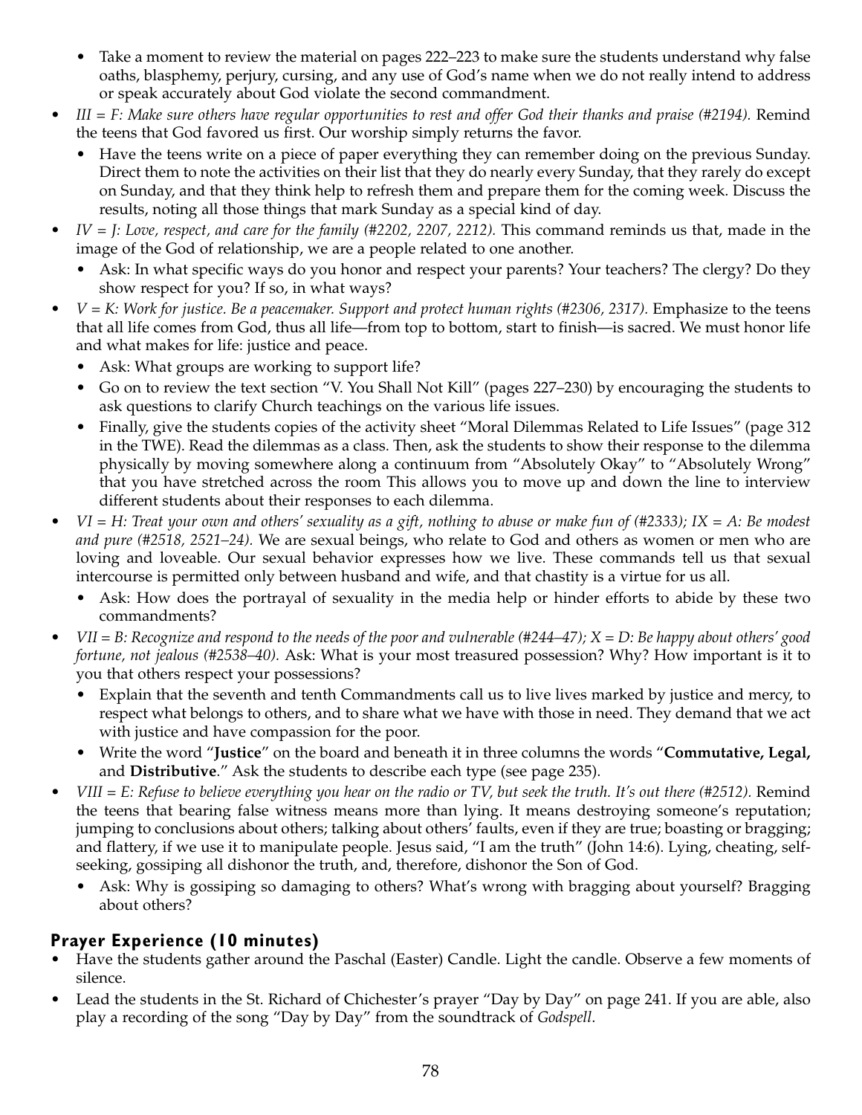- Take a moment to review the material on pages 222–223 to make sure the students understand why false oaths, blasphemy, perjury, cursing, and any use of God's name when we do not really intend to address or speak accurately about God violate the second commandment.
- *III = F: Make sure others have regular opportunities to rest and offer God their thanks and praise (#2194).* Remind the teens that God favored us first. Our worship simply returns the favor.
	- Have the teens write on a piece of paper everything they can remember doing on the previous Sunday. Direct them to note the activities on their list that they do nearly every Sunday, that they rarely do except on Sunday, and that they think help to refresh them and prepare them for the coming week. Discuss the results, noting all those things that mark Sunday as a special kind of day.
- *IV = J: Love, respect, and care for the family (#2202, 2207, 2212).* This command reminds us that, made in the image of the God of relationship, we are a people related to one another.
	- Ask: In what specific ways do you honor and respect your parents? Your teachers? The clergy? Do they show respect for you? If so, in what ways?
- *V = K: Work for justice. Be a peacemaker. Support and protect human rights (#2306, 2317).* Emphasize to the teens that all life comes from God, thus all life—from top to bottom, start to finish—is sacred. We must honor life and what makes for life: justice and peace.
	- Ask: What groups are working to support life?
	- Go on to review the text section "V. You Shall Not Kill" (pages 227–230) by encouraging the students to ask questions to clarify Church teachings on the various life issues.
	- Finally, give the students copies of the activity sheet "Moral Dilemmas Related to Life Issues" (page 312 in the TWE). Read the dilemmas as a class. Then, ask the students to show their response to the dilemma physically by moving somewhere along a continuum from "Absolutely Okay" to "Absolutely Wrong" that you have stretched across the room This allows you to move up and down the line to interview different students about their responses to each dilemma.
- *VI = H: Treat your own and others' sexuality as a gift, nothing to abuse or make fun of (#2333); IX = A: Be modest and pure (#2518, 2521–24).* We are sexual beings, who relate to God and others as women or men who are loving and loveable. Our sexual behavior expresses how we live. These commands tell us that sexual intercourse is permitted only between husband and wife, and that chastity is a virtue for us all.
	- Ask: How does the portrayal of sexuality in the media help or hinder efforts to abide by these two commandments?
- *VII = B: Recognize and respond to the needs of the poor and vulnerable (#244–47); X = D: Be happy about others' good fortune, not jealous (#2538–40).* Ask: What is your most treasured possession? Why? How important is it to you that others respect your possessions?
	- Explain that the seventh and tenth Commandments call us to live lives marked by justice and mercy, to respect what belongs to others, and to share what we have with those in need. They demand that we act with justice and have compassion for the poor.
	- Write the word "**Justice**" on the board and beneath it in three columns the words "**Commutative, Legal,** and **Distributive**." Ask the students to describe each type (see page 235).
- *VIII = E: Refuse to believe everything you hear on the radio or TV, but seek the truth. It's out there (#2512).* Remind the teens that bearing false witness means more than lying. It means destroying someone's reputation; jumping to conclusions about others; talking about others' faults, even if they are true; boasting or bragging; and flattery, if we use it to manipulate people. Jesus said, "I am the truth" (John 14:6). Lying, cheating, selfseeking, gossiping all dishonor the truth, and, therefore, dishonor the Son of God.
	- Ask: Why is gossiping so damaging to others? What's wrong with bragging about yourself? Bragging about others?

#### **Prayer Experience (10 minutes)**

- Have the students gather around the Paschal (Easter) Candle. Light the candle. Observe a few moments of silence.
- Lead the students in the St. Richard of Chichester's prayer "Day by Day" on page 241. If you are able, also play a recording of the song "Day by Day" from the soundtrack of *Godspell*.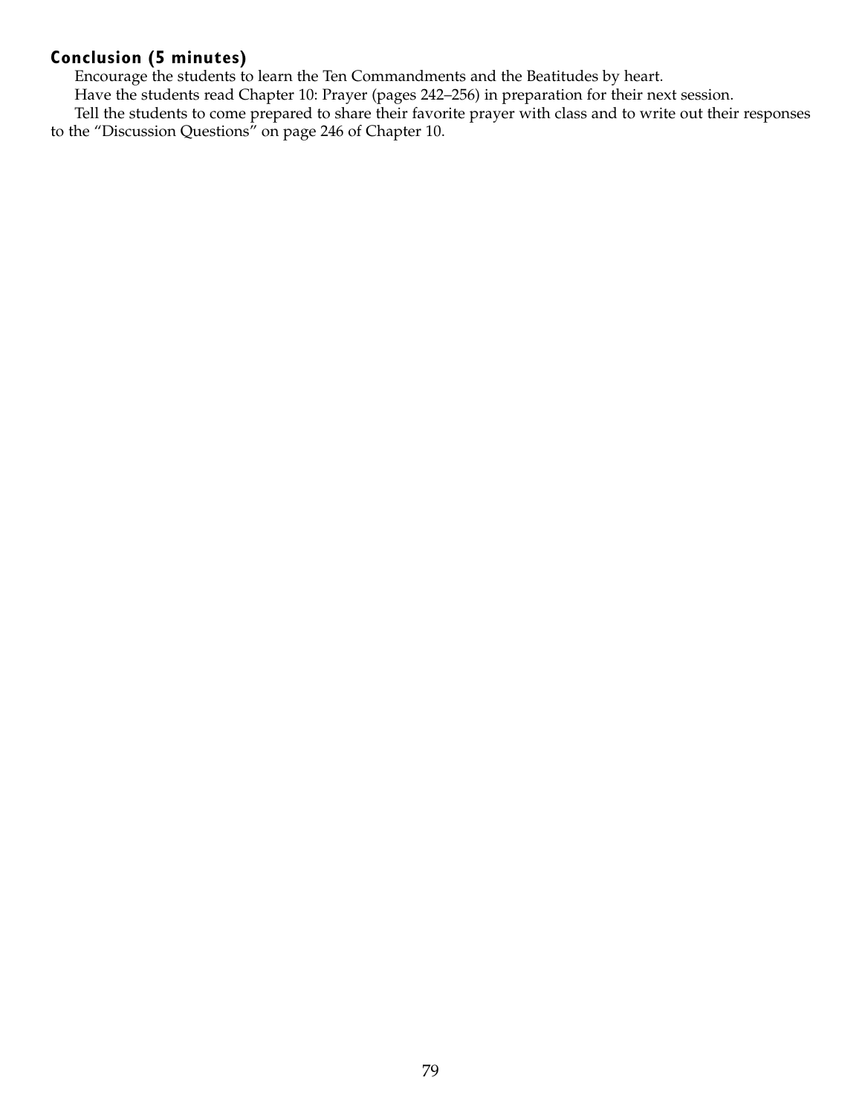#### **Conclusion (5 minutes)**

Encourage the students to learn the Ten Commandments and the Beatitudes by heart.

Have the students read Chapter 10: Prayer (pages 242–256) in preparation for their next session.

Tell the students to come prepared to share their favorite prayer with class and to write out their responses to the "Discussion Questions" on page 246 of Chapter 10.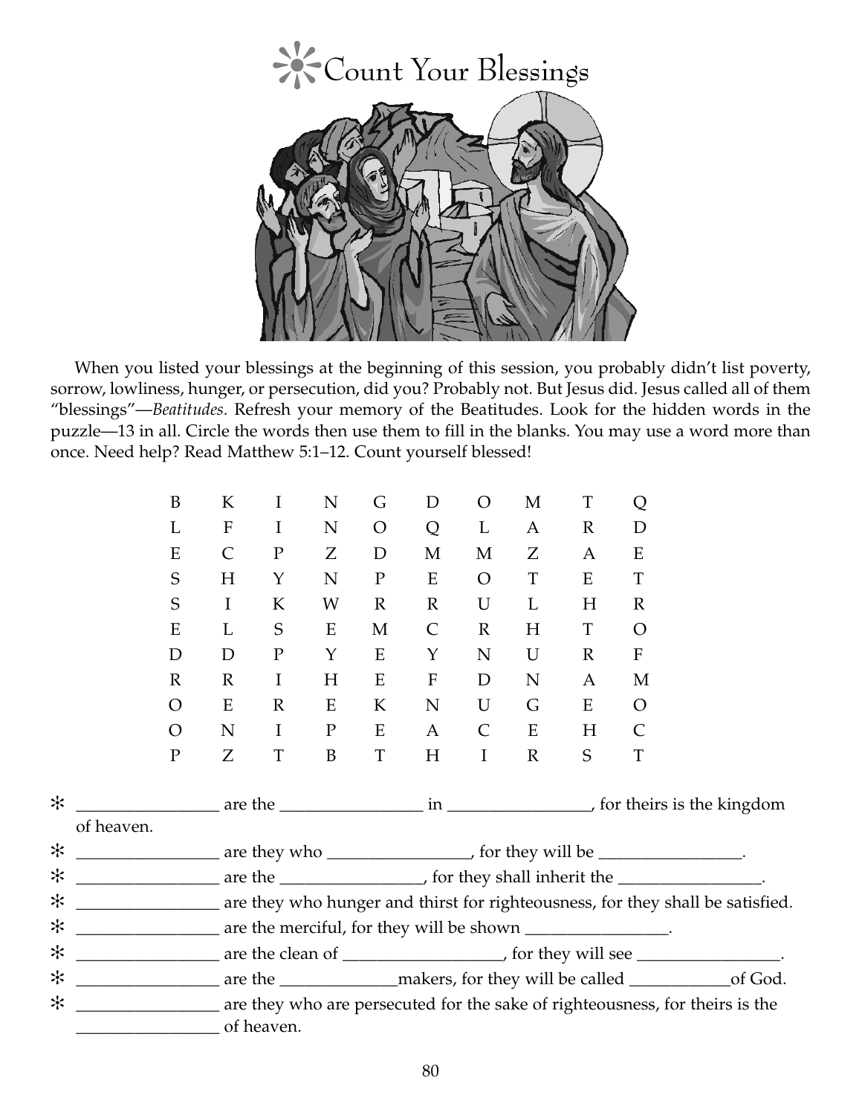

When you listed your blessings at the beginning of this session, you probably didn't list poverty, sorrow, lowliness, hunger, or persecution, did you? Probably not. But Jesus did. Jesus called all of them "blessings"—*Beatitudes*. Refresh your memory of the Beatitudes. Look for the hidden words in the puzzle—13 in all. Circle the words then use them to fill in the blanks. You may use a word more than once. Need help? Read Matthew 5:1–12. Count yourself blessed!

|            | B              | K                                                                                | $\bf{I}$     | N           | G              | D                         | $\overline{O}$                                                           | M            | T            | Q                         |  |  |
|------------|----------------|----------------------------------------------------------------------------------|--------------|-------------|----------------|---------------------------|--------------------------------------------------------------------------|--------------|--------------|---------------------------|--|--|
|            | L              | ${\bf F}$                                                                        | $\mathbf I$  | ${\bf N}$   | $\overline{O}$ | Q                         | $\mathbf L$                                                              | A            | $\mathbb{R}$ | D                         |  |  |
|            | E              | $\mathsf{C}$                                                                     | $\mathbf P$  | Z           | $\mathbf D$    | M                         | M                                                                        | Ζ            | $\mathbf{A}$ | E                         |  |  |
|            | S              | H                                                                                | $\mathbf Y$  | ${\bf N}$   | ${\bf P}$      | ${\bf E}$                 | $\overline{O}$                                                           | $\mathbf T$  | E            | T                         |  |  |
|            | S              | $\mathbf I$                                                                      | K            | W           | $\mathbb{R}$   | $\mathbb{R}$              | $\mathbf U$                                                              | L            | H            | $\mathbb{R}$              |  |  |
|            | E              | L                                                                                | $\mathbf S$  | E           | M              | $\mathsf{C}$              | $\mathbb{R}$                                                             | H            | T            | $\overline{O}$            |  |  |
|            | D              | D                                                                                | ${\bf P}$    | Y           | E              | Y                         | N                                                                        | U            | $\mathbb{R}$ | $\boldsymbol{\mathrm{F}}$ |  |  |
|            | $\mathbb{R}$   | $\mathbb{R}$                                                                     | $\mathbf I$  | $H_{\rm}$   | E              | $\boldsymbol{\mathrm{F}}$ | D                                                                        | N            | $\mathbf{A}$ | M                         |  |  |
|            | $\rm{O}$       | E                                                                                | $\mathbb{R}$ | E           | K              | ${\bf N}$                 | $\mathbf U$                                                              | G            | E            | $\overline{O}$            |  |  |
|            | $\overline{O}$ | ${\bf N}$                                                                        | $\bf{I}$     | $\mathbf P$ | E              | $\mathbf{A}$              | $\mathsf{C}$                                                             | ${\bf E}$    | H            | $\mathsf{C}$              |  |  |
|            | $\mathbf P$    | Z                                                                                | $\mathbf T$  | B           | $\mathbf T$    | H                         | $\mathbf I$                                                              | $\mathbb{R}$ | S            | $\mathbf T$               |  |  |
| ☆          |                |                                                                                  |              |             |                |                           |                                                                          |              |              |                           |  |  |
| of heaven. |                |                                                                                  |              |             |                |                           |                                                                          |              |              |                           |  |  |
| ☆          |                |                                                                                  |              |             |                |                           | are they who ______________________, for they will be _________________. |              |              |                           |  |  |
| *          |                | are the ____________________, for they shall inherit the _________________.      |              |             |                |                           |                                                                          |              |              |                           |  |  |
| ☆          |                | are they who hunger and thirst for righteousness, for they shall be satisfied.   |              |             |                |                           |                                                                          |              |              |                           |  |  |
| *          |                | are the merciful, for they will be shown ________________.                       |              |             |                |                           |                                                                          |              |              |                           |  |  |
| *          |                | are the clean of _______________________, for they will see __________________.  |              |             |                |                           |                                                                          |              |              |                           |  |  |
| *          |                | are the _______________ makers, for they will be called _________________of God. |              |             |                |                           |                                                                          |              |              |                           |  |  |
| *          |                | are they who are persecuted for the sake of righteousness, for theirs is the     |              |             |                |                           |                                                                          |              |              |                           |  |  |
|            |                |                                                                                  | of heaven.   |             |                |                           |                                                                          |              |              |                           |  |  |